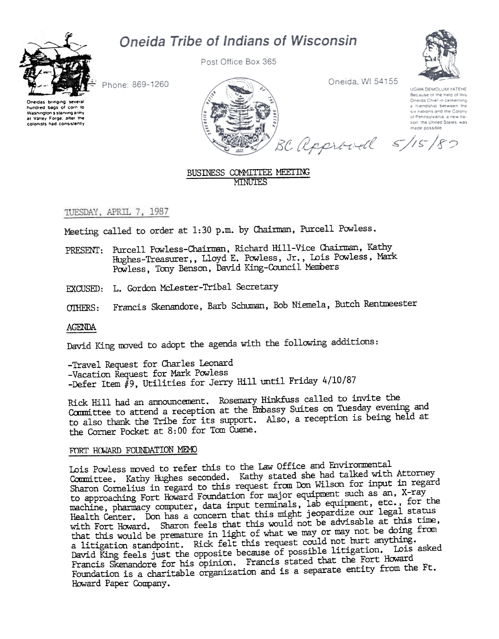# Oneida Tribe of Indians of Wisconsin



Post Office Box 365



Phone: 869-1260

One.das bnng.ng several hundred bags of corn 10 Washington s starving army at Valley Forge, after the colonists had consistently



Oneida, WI 54155

UGWA DEMOLUM YATEHE Recause of the help of this Oneida Chief in cementing a friendship between the six nations and the Colony of Pennsylvania, a new nation, the United States, was

BC approved 5/15/80

## BUSINESS COMMITTEE MEETING **MINUTES**

## TUESDAY, APRIL 7, 1987

Meeting called to order at 1:30 p.m. by Chairman, Purcell Powless.

- PRESENT: Purcell Powless-Chairman, Richard Hill-Vice Chairman, Kathy Hughes-Treasurer,, Lloyd E. Powless, Jr., Lois Powless, Mark Powless, Tony Benson, David King-Council Members
- EXCUSED: L. Gordon McLester-Tribal Secretary
- OTHERS: Francis Skenandore, Barb Schuman, Bob Niemela, Butch Rentmeester

## AGENDA

David King moved to adopt the agenda with the following additions:

-Travel Request for Charles Leonard -Vacation Request for Mark Powless -Defer Item  $\hat{H}$ 9, Utilities for Jerry Hill until Friday 4/10/87

Rick Hill had an announcement. Rosemary Hinkfuss called to invite the Committee to attend a reception at the Embassy Suites on Tuesday evening and to also thank the Tribe for its support. Also, a reception is being held at the Comer Pocket at 8: 00 for Tom Cuene.

## FORT HOWARD FOUNDATION MEMO

Lois Powless roved to refer this to the law Office and Envirormental Committee. Kathy Hughes seconded. Kathy stated she had talked with Attorney Sharon Cornelius in regard to this request from Don Wilson for input in regard to approaching Fort Howard Foundation for major equipment such as an, X-ray machine, pharmacy computer, data input terminals, lab equipment, etc., for the Health Center. Don has a concern that this might jeopardize our legal status with Fort Howard. Sharon feels that this would not be advisable at this time, that this would be premature in light of what we may or may not be doing from and this would be promined in  $\frac{1}{2}$ .  $\frac{1}{2}$  request could not hurt anything. a litigation standpoliit. Kick feel this request some of process in the litigation. Lois asked Francis Skenandore for his opinion. Francis stated that the Fort Howard Foundation is a charitable organization and is a separate entity from the Ft. Howard Paper Company.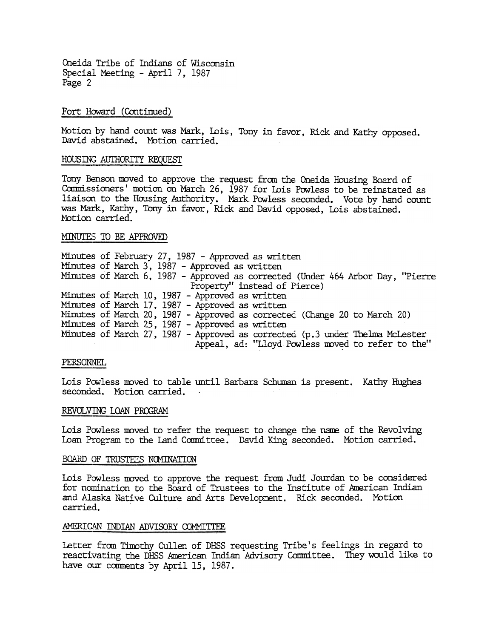#### Fort Howard (Continued)

Motion by hand count was Mark, Lois, Tony in favor, Rick and Kathy opposed. David abstained. Motion carried.

#### HOUS ING AUTHORITY REQUEST

Tony Benson mved to approve the request fran the Oneida Housing Board of Commissioners' motion on March 26, 1987 for Lois Powless to be reinstated as liaison to the Housing Authority. Mark Powless seconded. Vote by hand count was Mark, Kathy, Tony in favor, Rick and David opposed, Lois abstained. Motion carried.

## MINUTES TO BE APPROVED

Minutes of February 27, 1987 - Approved as written Minutes of March 3, 1987 - Approved as written Minutes of March 6, 1987 - Approved as corrected (Under 464 Arbor Day, "Pierre Property" instead of Pierce) Minutes of March 10, 1987 - Approved as written Minutes of March 17, 1987 - Approved as written Minutes of March 20, 1987 - Approved as corrected (Change 20 to March 20) Minutes of March 25, 1987 - Approved as writt Minutes of March 27, 1987 - Approved as corrected (p.3 under Thelma McLester Appeal, ad: "Lloyd Powless moved to refer to the"

#### PERSONNEL

Lois Powless moved to table until Barbara Schuman is present. Kathy Hughes seconded. Motion carried.

#### REVOLVING LOAN PROGRAM

Lois Powless moved to refer the request to change the name of the Revolving Loan Program to the Land Committee. David King seconded. Motion carried.

#### BOARD OF TRUSTEES NOMINATION

Lois Powless moved to approve the request from Judi Jourdan to be considered for nomination to the Board of Trustees to the Institute of hrerican Indian and Alaska Native Culture and Arts Development. Rick seconded. Motion carried.

#### AMERICAN INDIAN ADVISORY COMMITTEE

Letter from Timothy Cullen of DHSS requesting Tribe's feelings in regard to reactivating the DHSS American Indian Advisory Committee. They would like to have our comments by April 15, 1987.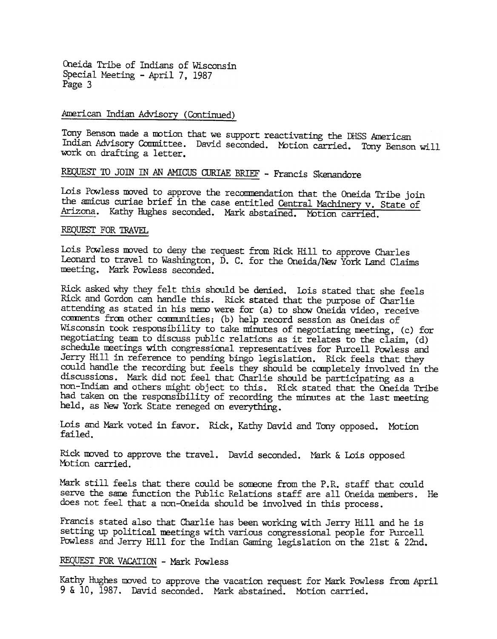#### American Indian Advisory (Continued)

Tony Benson made a motion that we support reactivating the DHSS American Indian Advisory Conmittee. David seconded. Motion carried. Tony Benson will work on drafting a letter.

## REQUEST TO JOIN IN AN AMICUS CURIAE BRIEF - Francis Skenandore

Lois Powless moved to approve the recommendation that the Oneida Tribe join the amicus curiae brief in the case entitled Central Machinery v. State of Arizona. Kathy Hughes seconded. Mark abstained. Motion carried.

#### REQUESr FOR TRAVEL

Lois Powless moved to deny the request from Rick Hill to approve Charles Leonard to travel to Washington, D. C. for the Oneida/New York Land Claims meeting. Mark Powless seconded.

Rick asked why they felt this should be denied. Lois stated that she feels Rick and Gordon can handle this. Rick stated that the purpose of Charlie attending as stated in his memo were for (a) to show Oneida video, receive comments from other communities; (b) help record session as Oneidas of Wisconsin took responsibility to talce minutes of negotiating meeting, (c) for negotiating team to discuss public relations as it relates to the claim, (d) schedule meetings with congressional representatives for Purcell Powless and Jerry Hill in reference to pending bingo legislation. Rick feels that they could handle the recording but feels they should be canpletely involved in the discussions. Mark did not feel that Charlie should be participating as a non-Indian and others might object to this. Ridk stated that the Oneida Tribe had taken on the responsibility of recording the minutes at the last meeting held, as New York State reneged on everything .

Lois and Mark voted in favor. Rick, Kathy David and Tony opposed. Motion failed.

Rick moved to approve the travel. David seconded. Mark & Lois oppose Motion carried.

Mark still feels that there could be someone from the P.R. staff that could serve the same function the Public Relations staff are all Oneida members. He does not feel that a non-Oneida should be involved in this process.

Francis stated also that Charlie has been working with Jerry Hill and he is setting up political meetings with various congressional people for Purcell Powless and Jerry Hill for the Indian Gaming legislation on the 21st & 22nd.

## REQUEST FOR VACATION - Mark Powless

Kathy Hughes moved to approve the vacation request for Mark Powless from April 9 & 10, 1987. David seconded. Mark abstained. Motion carried.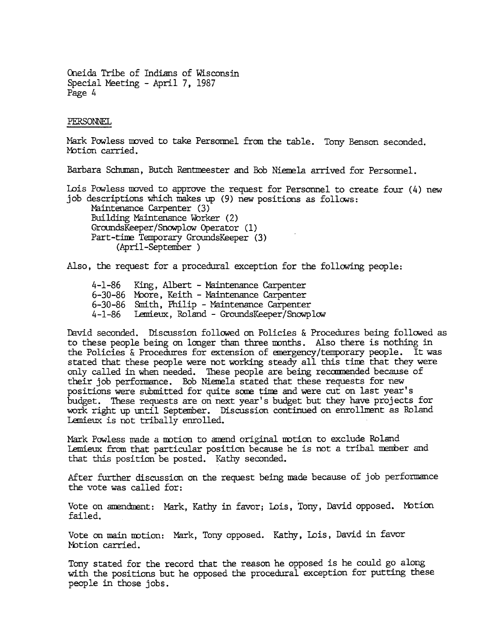#### PERSONNEL

Mark Powless moved to take Personnel from the table. Tony Benson seconded Motion carried.

Barbara Schuman, Butch Rentmeester and Bob Niemela arrived for Personnel.

Lois Powless moved to approve the request for Personnel to create four (4) new job descriptions which makes up  $(9)$  new positions as follows: Maintenance Carpenter (3) Building Maintenance Worker (2) GroundsKeeper/Snowplow Operator (1) Part-time Temporary GroundsKeeper (3) (April-September)

Also, the request for a procedural exception for the following people:

4-1-86 King, Albert - Maintenance Carpenter 6-30-86 Moore, Keith - Maintenance Carpente: 6-30-86 Smith, Philip - Maintenance Carpenter 4-1-86 Lemieux, Roland - GroundsKeeper/Snowplow

David seconded. Discussion followed on Policies & Procedures being followed as to these people being on longer than three months. Also there is nothing in the Policies & Procedures for extension of anergency /temporary people. It was stated that these people were not working steady all this tine that they were only called in when needed. These people are being reccmnended because of their job performance. Bob Niemela stated that these requests for new positions were submitted for quite some time and were cut on last year's budget. These requests are on next year's budget but they have projects for work right up until September. Discussion continued on enrollment as Roland Lemieux is not tribally enrolled.

Mark Powless made a motion to amend original motion to exclude Roland Lemieux from that particular position because he is not a tribal member and that this position be posted. Kathy seconded.

After further discussion on the request being made because of job performance the vote was called for:

Vote on amendment: Mark, Kathy in favor; Lois, Tony, David opposed. Motion failed.

Vote on main motion: Mark, Tony opposed. Kathy, Lois, David in favor Motion carried.

Tony stated for the record that the reason he opposed is he could go along with the positions but he opposed the procedural exception for putting these people in those jobs.